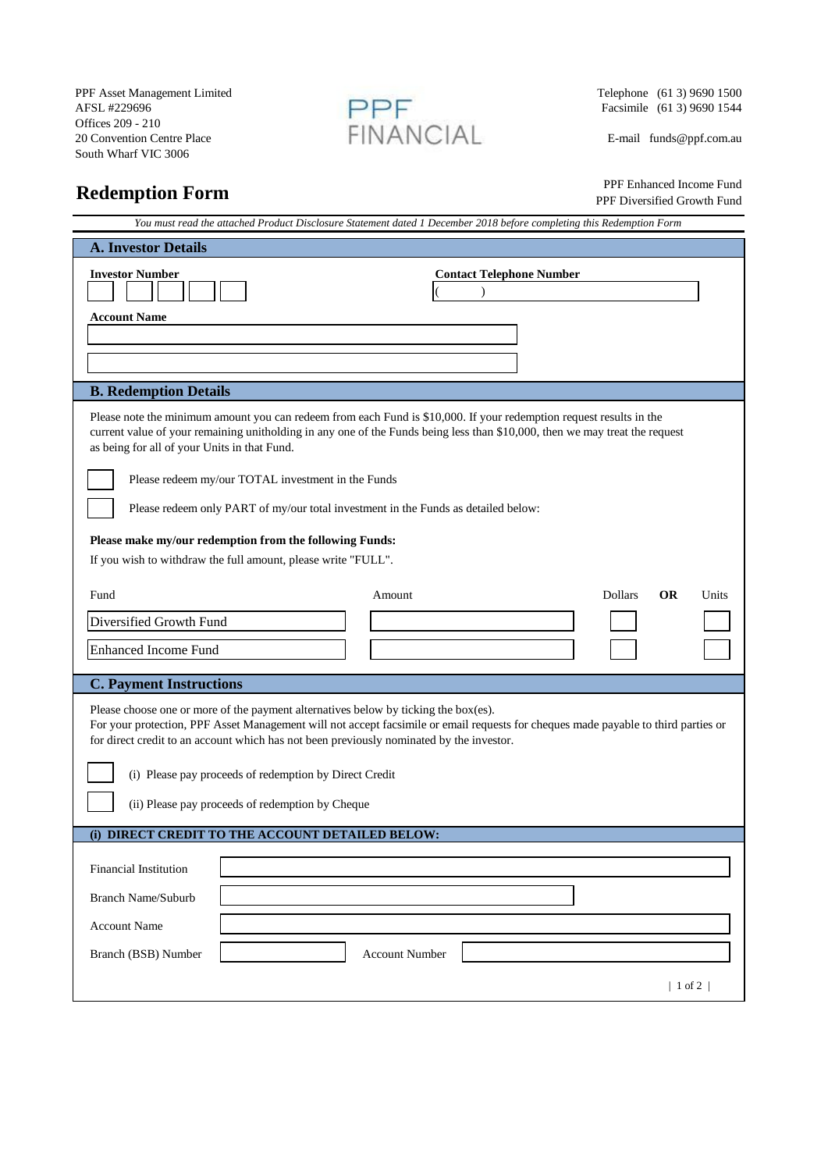PPF Asset Management Limited<br>
AFSL #229696 (61 3) 9690 1500<br>
Telephone (61 3) 9690 1500<br>
Facsimile (61 3) 9690 1544 AFSL #229696 **Facsimile** (61 3) 9690 1544 Offices 209 - 210 20 Convention Centre Place FINAIN LAL E-mail funds @ppf.com.au South Wharf VIC 3006



## **Redemption Form**

 PPF Enhanced Income Fund PPF Diversified Growth Fund

| You must read the attached Product Disclosure Statement dated 1 December 2018 before completing this Redemption Form                                                                                                                                                                                                  |  |  |
|-----------------------------------------------------------------------------------------------------------------------------------------------------------------------------------------------------------------------------------------------------------------------------------------------------------------------|--|--|
| <b>A. Investor Details</b>                                                                                                                                                                                                                                                                                            |  |  |
| <b>Investor Number</b><br><b>Contact Telephone Number</b>                                                                                                                                                                                                                                                             |  |  |
| <b>Account Name</b>                                                                                                                                                                                                                                                                                                   |  |  |
|                                                                                                                                                                                                                                                                                                                       |  |  |
|                                                                                                                                                                                                                                                                                                                       |  |  |
| <b>B. Redemption Details</b>                                                                                                                                                                                                                                                                                          |  |  |
| Please note the minimum amount you can redeem from each Fund is \$10,000. If your redemption request results in the<br>current value of your remaining unitholding in any one of the Funds being less than \$10,000, then we may treat the request<br>as being for all of your Units in that Fund.                    |  |  |
| Please redeem my/our TOTAL investment in the Funds                                                                                                                                                                                                                                                                    |  |  |
| Please redeem only PART of my/our total investment in the Funds as detailed below:                                                                                                                                                                                                                                    |  |  |
| Please make my/our redemption from the following Funds:                                                                                                                                                                                                                                                               |  |  |
| If you wish to withdraw the full amount, please write "FULL".                                                                                                                                                                                                                                                         |  |  |
| <b>OR</b><br>Fund<br><b>Dollars</b><br>Units<br>Amount                                                                                                                                                                                                                                                                |  |  |
| Diversified Growth Fund                                                                                                                                                                                                                                                                                               |  |  |
| <b>Enhanced Income Fund</b>                                                                                                                                                                                                                                                                                           |  |  |
| <b>C. Payment Instructions</b>                                                                                                                                                                                                                                                                                        |  |  |
| Please choose one or more of the payment alternatives below by ticking the box(es).<br>For your protection, PPF Asset Management will not accept facsimile or email requests for cheques made payable to third parties or<br>for direct credit to an account which has not been previously nominated by the investor. |  |  |
| (i) Please pay proceeds of redemption by Direct Credit                                                                                                                                                                                                                                                                |  |  |
|                                                                                                                                                                                                                                                                                                                       |  |  |
| (ii) Please pay proceeds of redemption by Cheque                                                                                                                                                                                                                                                                      |  |  |
| (i) DIRECT CREDIT TO THE ACCOUNT DETAILED BELOW:                                                                                                                                                                                                                                                                      |  |  |
| Financial Institution                                                                                                                                                                                                                                                                                                 |  |  |
| <b>Branch Name/Suburb</b>                                                                                                                                                                                                                                                                                             |  |  |
|                                                                                                                                                                                                                                                                                                                       |  |  |
| <b>Account Name</b>                                                                                                                                                                                                                                                                                                   |  |  |
| Branch (BSB) Number<br><b>Account Number</b>                                                                                                                                                                                                                                                                          |  |  |
| $1$ of 2                                                                                                                                                                                                                                                                                                              |  |  |